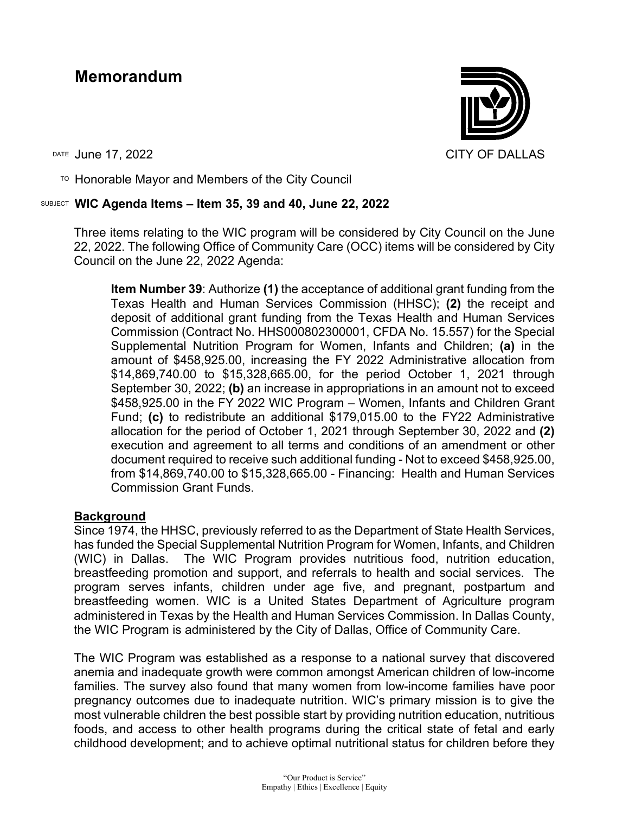# **Memorandum**

 $T$ <sup>O</sup> Honorable Mayor and Members of the City Council

## SUBJECT **WIC Agenda Items – Item 35, 39 and 40, June 22, 2022**

Three items relating to the WIC program will be considered by City Council on the June 22, 2022. The following Office of Community Care (OCC) items will be considered by City Council on the June 22, 2022 Agenda:

**Item Number 39**: Authorize **(1)** the acceptance of additional grant funding from the Texas Health and Human Services Commission (HHSC); **(2)** the receipt and deposit of additional grant funding from the Texas Health and Human Services Commission (Contract No. HHS000802300001, CFDA No. 15.557) for the Special Supplemental Nutrition Program for Women, Infants and Children; **(a)** in the amount of \$458,925.00, increasing the FY 2022 Administrative allocation from \$14,869,740.00 to \$15,328,665.00, for the period October 1, 2021 through September 30, 2022; **(b)** an increase in appropriations in an amount not to exceed \$458,925.00 in the FY 2022 WIC Program – Women, Infants and Children Grant Fund; **(c)** to redistribute an additional \$179,015.00 to the FY22 Administrative allocation for the period of October 1, 2021 through September 30, 2022 and **(2)** execution and agreement to all terms and conditions of an amendment or other document required to receive such additional funding - Not to exceed \$458,925.00, from \$14,869,740.00 to \$15,328,665.00 - Financing: Health and Human Services Commission Grant Funds.

### **Background**

Since 1974, the HHSC, previously referred to as the Department of State Health Services, has funded the Special Supplemental Nutrition Program for Women, Infants, and Children (WIC) in Dallas. The WIC Program provides nutritious food, nutrition education, breastfeeding promotion and support, and referrals to health and social services. The program serves infants, children under age five, and pregnant, postpartum and breastfeeding women. WIC is a United States Department of Agriculture program administered in Texas by the Health and Human Services Commission. In Dallas County, the WIC Program is administered by the City of Dallas, Office of Community Care.

The WIC Program was established as a response to a national survey that discovered anemia and inadequate growth were common amongst American children of low-income families. The survey also found that many women from low-income families have poor pregnancy outcomes due to inadequate nutrition. WIC's primary mission is to give the most vulnerable children the best possible start by providing nutrition education, nutritious foods, and access to other health programs during the critical state of fetal and early childhood development; and to achieve optimal nutritional status for children before they

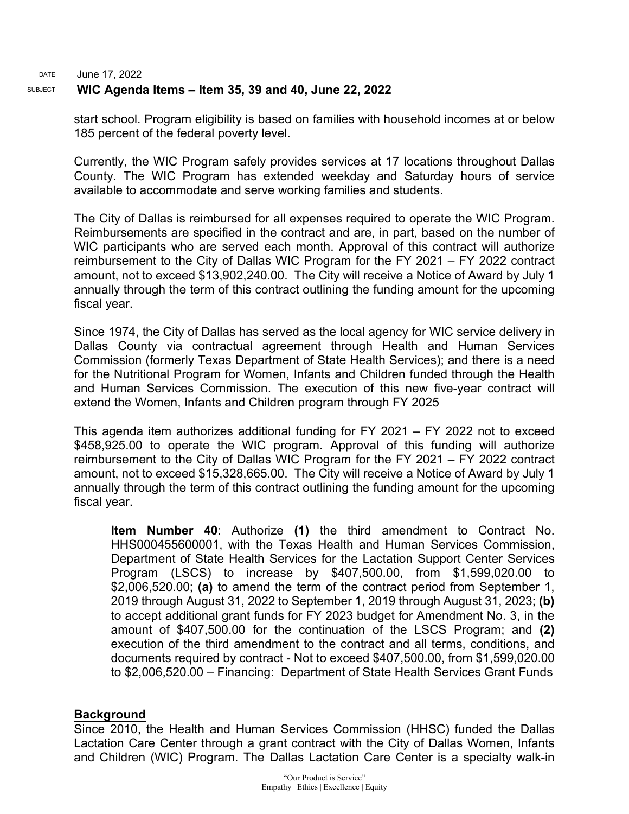#### DATE June 17, 2022 SUBJECT **WIC Agenda Items – Item 35, 39 and 40, June 22, 2022**

start school. Program eligibility is based on families with household incomes at or below 185 percent of the federal poverty level.

Currently, the WIC Program safely provides services at 17 locations throughout Dallas County. The WIC Program has extended weekday and Saturday hours of service available to accommodate and serve working families and students.

The City of Dallas is reimbursed for all expenses required to operate the WIC Program. Reimbursements are specified in the contract and are, in part, based on the number of WIC participants who are served each month. Approval of this contract will authorize reimbursement to the City of Dallas WIC Program for the FY 2021 – FY 2022 contract amount, not to exceed \$13,902,240.00. The City will receive a Notice of Award by July 1 annually through the term of this contract outlining the funding amount for the upcoming fiscal year.

Since 1974, the City of Dallas has served as the local agency for WIC service delivery in Dallas County via contractual agreement through Health and Human Services Commission (formerly Texas Department of State Health Services); and there is a need for the Nutritional Program for Women, Infants and Children funded through the Health and Human Services Commission. The execution of this new five-year contract will extend the Women, Infants and Children program through FY 2025

This agenda item authorizes additional funding for FY 2021 – FY 2022 not to exceed \$458,925.00 to operate the WIC program. Approval of this funding will authorize reimbursement to the City of Dallas WIC Program for the FY 2021 – FY 2022 contract amount, not to exceed \$15,328,665.00. The City will receive a Notice of Award by July 1 annually through the term of this contract outlining the funding amount for the upcoming fiscal year.

**Item Number 40**: Authorize **(1)** the third amendment to Contract No. HHS000455600001, with the Texas Health and Human Services Commission, Department of State Health Services for the Lactation Support Center Services Program (LSCS) to increase by \$407,500.00, from \$1,599,020.00 to \$2,006,520.00; **(a)** to amend the term of the contract period from September 1, 2019 through August 31, 2022 to September 1, 2019 through August 31, 2023; **(b)** to accept additional grant funds for FY 2023 budget for Amendment No. 3, in the amount of \$407,500.00 for the continuation of the LSCS Program; and **(2)** execution of the third amendment to the contract and all terms, conditions, and documents required by contract - Not to exceed \$407,500.00, from \$1,599,020.00 to \$2,006,520.00 – Financing: Department of State Health Services Grant Funds

## **Background**

Since 2010, the Health and Human Services Commission (HHSC) funded the Dallas Lactation Care Center through a grant contract with the City of Dallas Women, Infants and Children (WIC) Program. The Dallas Lactation Care Center is a specialty walk-in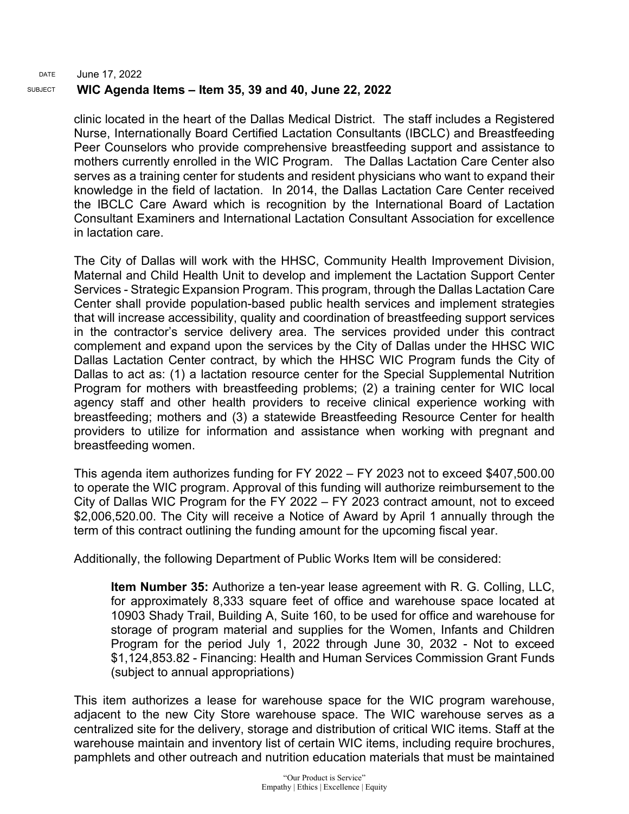#### DATE June 17, 2022 SUBJECT **WIC Agenda Items – Item 35, 39 and 40, June 22, 2022**

clinic located in the heart of the Dallas Medical District. The staff includes a Registered Nurse, Internationally Board Certified Lactation Consultants (IBCLC) and Breastfeeding Peer Counselors who provide comprehensive breastfeeding support and assistance to mothers currently enrolled in the WIC Program. The Dallas Lactation Care Center also serves as a training center for students and resident physicians who want to expand their knowledge in the field of lactation. In 2014, the Dallas Lactation Care Center received the IBCLC Care Award which is recognition by the International Board of Lactation Consultant Examiners and International Lactation Consultant Association for excellence in lactation care.

The City of Dallas will work with the HHSC, Community Health Improvement Division, Maternal and Child Health Unit to develop and implement the Lactation Support Center Services - Strategic Expansion Program. This program, through the Dallas Lactation Care Center shall provide population-based public health services and implement strategies that will increase accessibility, quality and coordination of breastfeeding support services in the contractor's service delivery area. The services provided under this contract complement and expand upon the services by the City of Dallas under the HHSC WIC Dallas Lactation Center contract, by which the HHSC WIC Program funds the City of Dallas to act as: (1) a lactation resource center for the Special Supplemental Nutrition Program for mothers with breastfeeding problems; (2) a training center for WIC local agency staff and other health providers to receive clinical experience working with breastfeeding; mothers and (3) a statewide Breastfeeding Resource Center for health providers to utilize for information and assistance when working with pregnant and breastfeeding women.

This agenda item authorizes funding for FY 2022 – FY 2023 not to exceed \$407,500.00 to operate the WIC program. Approval of this funding will authorize reimbursement to the City of Dallas WIC Program for the FY 2022 – FY 2023 contract amount, not to exceed \$2,006,520.00. The City will receive a Notice of Award by April 1 annually through the term of this contract outlining the funding amount for the upcoming fiscal year.

Additionally, the following Department of Public Works Item will be considered:

**Item Number 35:** Authorize a ten-year lease agreement with R. G. Colling, LLC, for approximately 8,333 square feet of office and warehouse space located at 10903 Shady Trail, Building A, Suite 160, to be used for office and warehouse for storage of program material and supplies for the Women, Infants and Children Program for the period July 1, 2022 through June 30, 2032 - Not to exceed \$1,124,853.82 - Financing: Health and Human Services Commission Grant Funds (subject to annual appropriations)

This item authorizes a lease for warehouse space for the WIC program warehouse, adjacent to the new City Store warehouse space. The WIC warehouse serves as a centralized site for the delivery, storage and distribution of critical WIC items. Staff at the warehouse maintain and inventory list of certain WIC items, including require brochures, pamphlets and other outreach and nutrition education materials that must be maintained